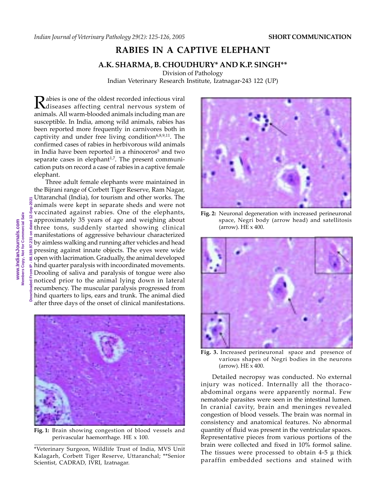## **RABIES IN A CAPTIVE ELEPHANT**

## **A.K. SHARMA, B. CHOUDHURY\* AND K.P. SINGH\*\***

Division of Pathology Indian Veterinary Research Institute, Izatnagar-243 122 (UP)

Rabies is one of the oldest recorded infectious viral<br>diseases affecting central nervous system of animals. All warm-blooded animals including man are susceptible. In India, among wild animals, rabies has been reported more frequently in carnivores both in captivity and under free living condition<sup>6,8,9,11</sup>. The confirmed cases of rabies in herbivorous wild animals in India have been reported in a rhinoceros<sup>5</sup> and two separate cases in elephant<sup>1,7</sup>. The present communication puts on record a case of rabies in a captive female elephant.

**Downloaded From IP - 88.159.97.231 on dated 12-Sep-2021** Three adult female elephants were maintained in the Bijrani range of Corbett Tiger Reserve, Ram Nagar, Uttaranchal (India), for tourism and other works. The animals were kept in separate sheds and were not vaccinated against rabies. One of the elephants, approximately 35 years of age and weighing about three tons, suddenly started showing clinical manifestations of aggressive behaviour characterized by aimless walking and running after vehicles and head pressing against innate objects. The eyes were wide open with lacrimation. Gradually, the animal developed hind quarter paralysis with incoordinated movements. Drooling of saliva and paralysis of tongue were also noticed prior to the animal lying down in lateral recumbency. The muscular paralysis progressed from hind quarters to lips, ears and trunk. The animal died after three days of the onset of clinical manifestations.



**Fig. 1:** Brain showing congestion of blood vessels and perivascular haemorrhage. HE x 100.

\*Veterinary Surgeon, Wildlife Trust of India, MVS Unit Kalagarh, Corbett Tiger Reserve, Uttaranchal; \*\*Senior Scientist, CADRAD, IVRI, Izatnagar.



**Fig. 2:** Neuronal degeneration with increased perineuronal space, Negri body (arrow head) and satellitosis (arrow). HE x 400.



**Fig. 3.** Increased perineuronal space and presence of various shapes of Negri bodies in the neurons  $\sigma$  (arrow). HE  $\times$  400.

Detailed necropsy was conducted. No external injury was noticed. Internally all the thoracoabdominal organs were apparently normal. Few nematode parasites were seen in the intestinal lumen. In cranial cavity, brain and meninges revealed congestion of blood vessels. The brain was normal in consistency and anatomical features. No abnormal quantity of fluid was present in the ventricular spaces. Representative pieces from various portions of the brain were collected and fixed in 10% formol saline. The tissues were processed to obtain  $4-5 \mu$  thick paraffin embedded sections and stained with

ā 59.97.231  $\ddot{\phantom{0}}$